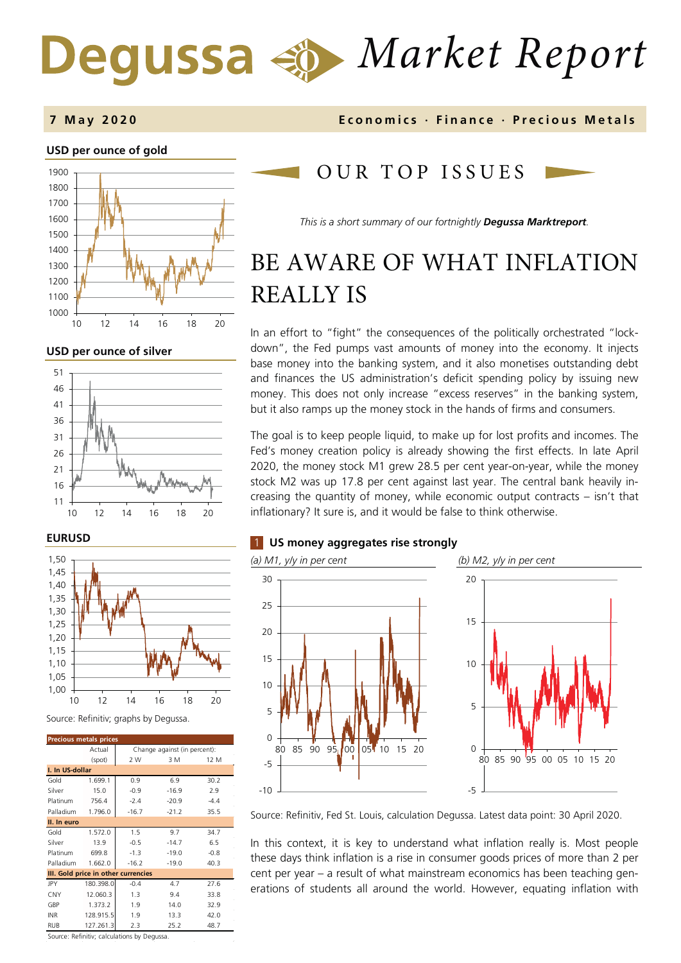# *Market Report*

#### **7 May 2020 Economics · Finance · Precious M etals**

#### **USD per ounce of gold**



**USD per ounce of silver** 



#### **EURUSD**



#### Source: Refinitiv; graphs by Degussa.

| <b>Precious metals prices</b>       |           |                              |         |        |  |  |
|-------------------------------------|-----------|------------------------------|---------|--------|--|--|
|                                     | Actual    | Change against (in percent): |         |        |  |  |
|                                     | (spot)    | 2 W                          | 3 M     | 12 M   |  |  |
| I. In US-dollar                     |           |                              |         |        |  |  |
| Gold                                | 1.699.1   | 0.9                          | 6.9     | 30.2   |  |  |
| Silver                              | 15.0      | $-0.9$                       | $-16.9$ | 2.9    |  |  |
| Platinum                            | 756.4     | $-2.4$                       | $-20.9$ | $-4.4$ |  |  |
| Palladium                           | 1.796.0   | $-16.7$                      | $-21.2$ | 35.5   |  |  |
| II. In euro                         |           |                              |         |        |  |  |
| Gold                                | 1.572.0   | 1.5                          | 9.7     | 34.7   |  |  |
| Silver                              | 13.9      | $-0.5$                       | $-14.7$ | 6.5    |  |  |
| Platinum                            | 699.8     | $-1.3$                       | $-19.0$ | $-0.8$ |  |  |
| Palladium                           | 1.662.0   | $-16.2$                      | $-19.0$ | 40.3   |  |  |
| III. Gold price in other currencies |           |                              |         |        |  |  |
| JPY                                 | 180.398.0 | $-0.4$                       | 4.7     | 27.6   |  |  |
| CNY                                 | 12.060.3  | 1.3                          | 9.4     | 33.8   |  |  |
| GBP                                 | 1.373.2   | 1.9                          | 14.0    | 32.9   |  |  |
| <b>INR</b>                          | 128.915.5 | 1.9                          | 13.3    | 42.0   |  |  |
| <b>RUB</b>                          | 127.261.3 | 2.3                          | 25.2    | 48.7   |  |  |

Source: Refinitiv; calculations by Degussa.

## OUR TOP ISSUE S

*This is a short summary of our fortnightly Degussa Marktreport.*

## BE AWARE OF WHAT INFLATION REALLY IS

In an effort to "fight" the consequences of the politically orchestrated "lockdown", the Fed pumps vast amounts of money into the economy. It injects base money into the banking system, and it also monetises outstanding debt and finances the US administration's deficit spending policy by issuing new money. This does not only increase "excess reserves" in the banking system, but it also ramps up the money stock in the hands of firms and consumers.

The goal is to keep people liquid, to make up for lost profits and incomes. The Fed's money creation policy is already showing the first effects. In late April 2020, the money stock M1 grew 28.5 per cent year-on-year, while the money stock M2 was up 17.8 per cent against last year. The central bank heavily increasing the quantity of money, while economic output contracts – isn't that inflationary? It sure is, and it would be false to think otherwise.

#### 1 **US money aggregates rise strongly**



Source: Refinitiv, Fed St. Louis, calculation Degussa. Latest data point: 30 April 2020.

In this context, it is key to understand what inflation really is. Most people these days think inflation is a rise in consumer goods prices of more than 2 per cent per year – a result of what mainstream economics has been teaching generations of students all around the world. However, equating inflation with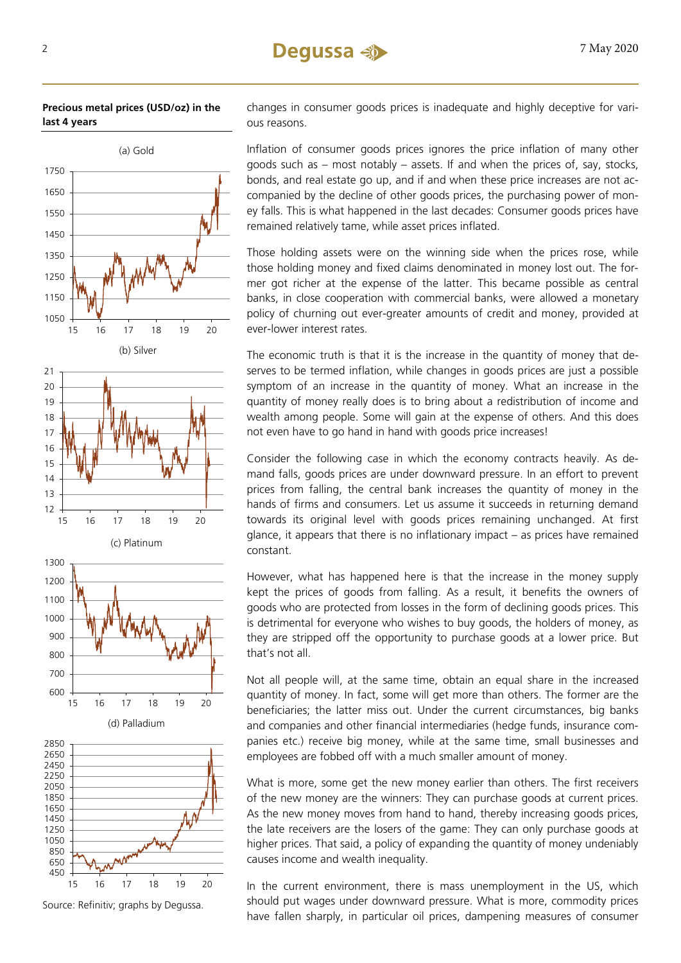

**Precious metal prices (USD/oz) in the last 4 years**

Source: Refinitiv; graphs by Degussa.

changes in consumer goods prices is inadequate and highly deceptive for various reasons.

Inflation of consumer goods prices ignores the price inflation of many other goods such as – most notably – assets. If and when the prices of, say, stocks, bonds, and real estate go up, and if and when these price increases are not accompanied by the decline of other goods prices, the purchasing power of money falls. This is what happened in the last decades: Consumer goods prices have remained relatively tame, while asset prices inflated.

Those holding assets were on the winning side when the prices rose, while those holding money and fixed claims denominated in money lost out. The former got richer at the expense of the latter. This became possible as central banks, in close cooperation with commercial banks, were allowed a monetary policy of churning out ever-greater amounts of credit and money, provided at ever-lower interest rates.

The economic truth is that it is the increase in the quantity of money that deserves to be termed inflation, while changes in goods prices are just a possible symptom of an increase in the quantity of money. What an increase in the quantity of money really does is to bring about a redistribution of income and wealth among people. Some will gain at the expense of others. And this does not even have to go hand in hand with goods price increases!

Consider the following case in which the economy contracts heavily. As demand falls, goods prices are under downward pressure. In an effort to prevent prices from falling, the central bank increases the quantity of money in the hands of firms and consumers. Let us assume it succeeds in returning demand towards its original level with goods prices remaining unchanged. At first glance, it appears that there is no inflationary impact – as prices have remained constant.

However, what has happened here is that the increase in the money supply kept the prices of goods from falling. As a result, it benefits the owners of goods who are protected from losses in the form of declining goods prices. This is detrimental for everyone who wishes to buy goods, the holders of money, as they are stripped off the opportunity to purchase goods at a lower price. But that's not all.

Not all people will, at the same time, obtain an equal share in the increased quantity of money. In fact, some will get more than others. The former are the beneficiaries; the latter miss out. Under the current circumstances, big banks and companies and other financial intermediaries (hedge funds, insurance companies etc.) receive big money, while at the same time, small businesses and employees are fobbed off with a much smaller amount of money.

What is more, some get the new money earlier than others. The first receivers of the new money are the winners: They can purchase goods at current prices. As the new money moves from hand to hand, thereby increasing goods prices, the late receivers are the losers of the game: They can only purchase goods at higher prices. That said, a policy of expanding the quantity of money undeniably causes income and wealth inequality.

In the current environment, there is mass unemployment in the US, which should put wages under downward pressure. What is more, commodity prices have fallen sharply, in particular oil prices, dampening measures of consumer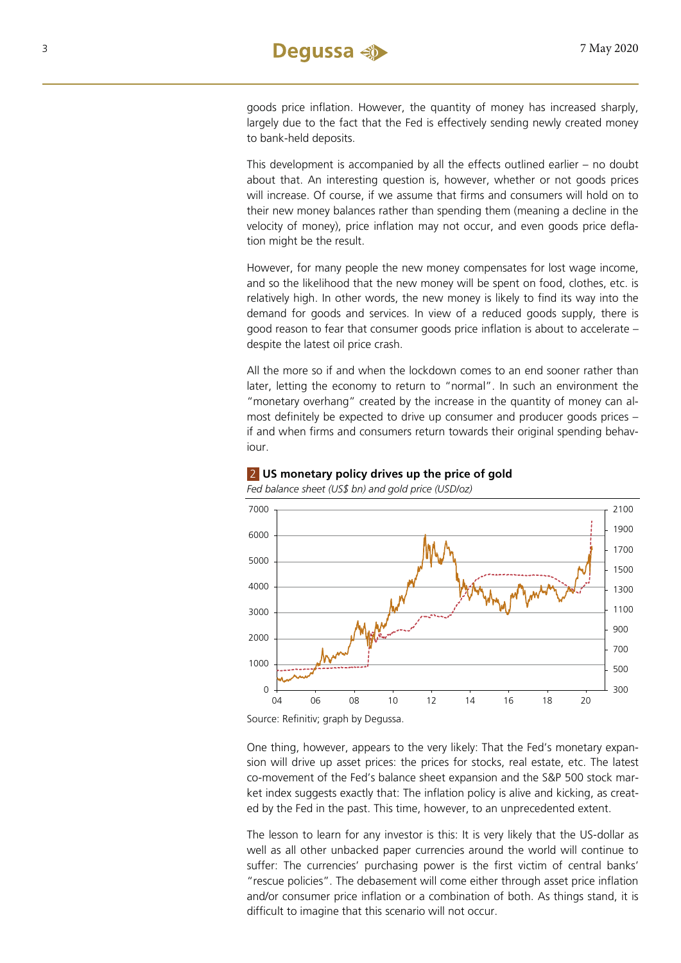goods price inflation. However, the quantity of money has increased sharply, largely due to the fact that the Fed is effectively sending newly created money to bank-held deposits.

This development is accompanied by all the effects outlined earlier – no doubt about that. An interesting question is, however, whether or not goods prices will increase. Of course, if we assume that firms and consumers will hold on to their new money balances rather than spending them (meaning a decline in the velocity of money), price inflation may not occur, and even goods price deflation might be the result.

However, for many people the new money compensates for lost wage income, and so the likelihood that the new money will be spent on food, clothes, etc. is relatively high. In other words, the new money is likely to find its way into the demand for goods and services. In view of a reduced goods supply, there is good reason to fear that consumer goods price inflation is about to accelerate – despite the latest oil price crash.

All the more so if and when the lockdown comes to an end sooner rather than later, letting the economy to return to "normal". In such an environment the "monetary overhang" created by the increase in the quantity of money can almost definitely be expected to drive up consumer and producer goods prices – if and when firms and consumers return towards their original spending behaviour.



#### 2 **US monetary policy drives up the price of gold**

*Fed balance sheet (US\$ bn) and gold price (USD/oz)* 

One thing, however, appears to the very likely: That the Fed's monetary expansion will drive up asset prices: the prices for stocks, real estate, etc. The latest co-movement of the Fed's balance sheet expansion and the S&P 500 stock market index suggests exactly that: The inflation policy is alive and kicking, as created by the Fed in the past. This time, however, to an unprecedented extent.

The lesson to learn for any investor is this: It is very likely that the US-dollar as well as all other unbacked paper currencies around the world will continue to suffer: The currencies' purchasing power is the first victim of central banks' "rescue policies". The debasement will come either through asset price inflation and/or consumer price inflation or a combination of both. As things stand, it is difficult to imagine that this scenario will not occur.

Source: Refinitiv; graph by Degussa.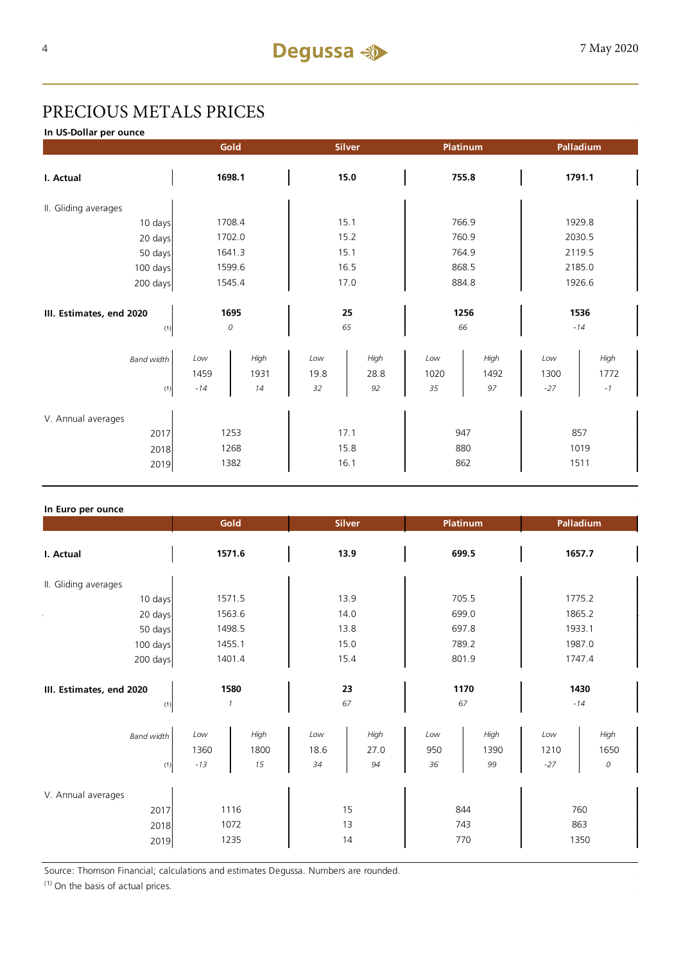## PRECIOUS METALS PRICES

**In US-Dollar per ounce**

|                                 | Gold        |              | <b>Silver</b> |              | Platinum    | Palladium    |               |              |  |
|---------------------------------|-------------|--------------|---------------|--------------|-------------|--------------|---------------|--------------|--|
| I. Actual                       | 1698.1      |              | 15.0          |              | 755.8       |              | 1791.1        |              |  |
| II. Gliding averages            |             |              |               |              |             |              |               |              |  |
| 10 days                         | 1708.4      |              | 15.1          |              | 766.9       |              | 1929.8        |              |  |
| 20 days                         | 1702.0      |              | 15.2          |              | 760.9       |              | 2030.5        |              |  |
| 50 days                         | 1641.3      |              | 15.1          |              |             | 764.9        |               | 2119.5       |  |
| 100 days                        | 1599.6      |              | 16.5          |              | 868.5       |              | 2185.0        |              |  |
| 200 days                        | 1545.4      |              | 17.0          |              | 884.8       |              | 1926.6        |              |  |
| III. Estimates, end 2020<br>(1) | 1695<br>0   |              | 25<br>65      |              | 1256<br>66  |              | 1536<br>$-14$ |              |  |
| <b>Band width</b>               | Low<br>1459 | High<br>1931 | Low<br>19.8   | High<br>28.8 | Low<br>1020 | High<br>1492 | Low<br>1300   | High<br>1772 |  |
| (1)                             | $-14$       | 14           | 32            | 92           | 35          | 97           | $-27$         | $-1$         |  |
| V. Annual averages              |             |              |               |              |             |              |               |              |  |
| 2017                            | 1253        |              | 17.1          |              | 947         |              | 857           |              |  |
| 2018                            | 1268        |              | 15.8          |              | 880         |              | 1019          |              |  |
| 2019                            | 1382        |              | 16.1          |              | 862         |              | 1511          |              |  |

#### **In Euro per ounce**

|                                 | Gold<br><b>Silver</b> |        | Platinum |      | Palladium  |       |               |        |  |
|---------------------------------|-----------------------|--------|----------|------|------------|-------|---------------|--------|--|
| I. Actual                       | 1571.6                |        | 13.9     |      | 699.5      |       | 1657.7        |        |  |
| II. Gliding averages            |                       |        |          |      |            |       |               |        |  |
| 10 days                         |                       | 1571.5 |          | 13.9 |            | 705.5 |               | 1775.2 |  |
| 20 days                         |                       | 1563.6 | 14.0     |      | 699.0      |       | 1865.2        |        |  |
| 50 days                         |                       | 1498.5 |          | 13.8 |            | 697.8 |               | 1933.1 |  |
| 100 days                        |                       | 1455.1 | 15.0     |      | 789.2      |       | 1987.0        |        |  |
| 200 days                        | 1401.4                |        | 15.4     |      | 801.9      |       | 1747.4        |        |  |
| III. Estimates, end 2020<br>(1) | 1580<br>1             |        | 23<br>67 |      | 1170<br>67 |       | 1430<br>$-14$ |        |  |
| <b>Band width</b>               | Low                   | High   | Low      | High | Low        | High  | Low           | High   |  |
|                                 | 1360                  | 1800   | 18.6     | 27.0 | 950        | 1390  | 1210          | 1650   |  |
| (1)                             | $-13$                 | 15     | 34       | 94   | 36         | 99    | $-27$         | 0      |  |
| V. Annual averages              |                       |        |          |      |            |       |               |        |  |
| 2017                            | 1116                  |        | 15       |      | 844        |       | 760           |        |  |
| 2018                            | 1072                  |        | 13       |      | 743        |       | 863           |        |  |
| 2019                            | 1235                  |        | 14       |      | 770        |       | 1350          |        |  |

Source: Thomson Financial; calculations and estimates Degussa. Numbers are rounded.

 $(1)$  On the basis of actual prices.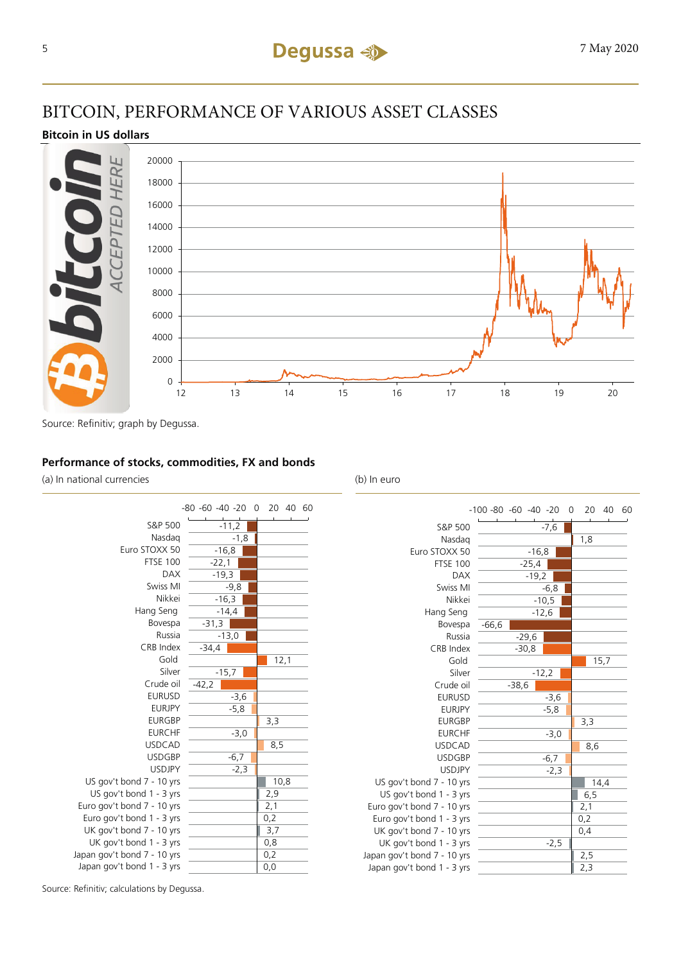## BITCOIN, PERFORMANCE OF VARIOUS ASSET CLASSES

#### **Bitcoin in US dollars**



Source: Refinitiv; graph by Degussa.

#### **Performance of stocks, commodities, FX and bonds**

(a) In national currencies (b) In euro



|                             | $-100 - 80 - 60 - 40 - 20$ | $\overline{0}$ | 20   | 40 60 |  |
|-----------------------------|----------------------------|----------------|------|-------|--|
| S&P 500                     |                            | $-7,6$         |      |       |  |
| Nasdag                      |                            |                |      |       |  |
| Euro STOXX 50               | $-16,8$                    | 1,8            |      |       |  |
| <b>FTSE 100</b>             | $-25,4$                    |                |      |       |  |
| <b>DAX</b>                  |                            | $-19,2$        |      |       |  |
| Swiss MI                    |                            | $-6,8$         |      |       |  |
| Nikkei                      |                            | $-10,5$        |      |       |  |
| Hang Seng                   |                            | $-12,6$        |      |       |  |
| Bovespa                     | $-66,6$                    |                |      |       |  |
| Russia                      | $-29,6$                    |                |      |       |  |
| <b>CRB</b> Index            | $-30,8$                    |                |      |       |  |
| Gold                        |                            |                | 15,7 |       |  |
| Silver                      |                            | $-12,2$        |      |       |  |
| Crude oil                   | $-38,6$                    |                |      |       |  |
| <b>EURUSD</b>               |                            | $-3,6$         |      |       |  |
| <b>EURJPY</b>               |                            | $-5,8$         |      |       |  |
| <b>EURGBP</b>               |                            |                | 3,3  |       |  |
| <b>EURCHF</b>               |                            | $-3,0$         |      |       |  |
| <b>USDCAD</b>               |                            |                | 8,6  |       |  |
| <b>USDGBP</b>               |                            | $-6,7$         |      |       |  |
| <b>USDJPY</b>               |                            | $-2,3$         |      |       |  |
| US gov't bond 7 - 10 yrs    |                            |                | 14,4 |       |  |
| US gov't bond 1 - 3 yrs     |                            |                | 6, 5 |       |  |
| Euro gov't bond 7 - 10 yrs  |                            |                | 2,1  |       |  |
| Euro gov't bond 1 - 3 yrs   |                            |                | 0,2  |       |  |
| UK gov't bond 7 - 10 yrs    |                            |                | 0,4  |       |  |
| UK gov't bond 1 - 3 yrs     |                            | $-2,5$         |      |       |  |
| Japan gov't bond 7 - 10 yrs |                            |                | 2,5  |       |  |
| Japan gov't bond 1 - 3 yrs  |                            |                | 2,3  |       |  |

Source: Refinitiv; calculations by Degussa.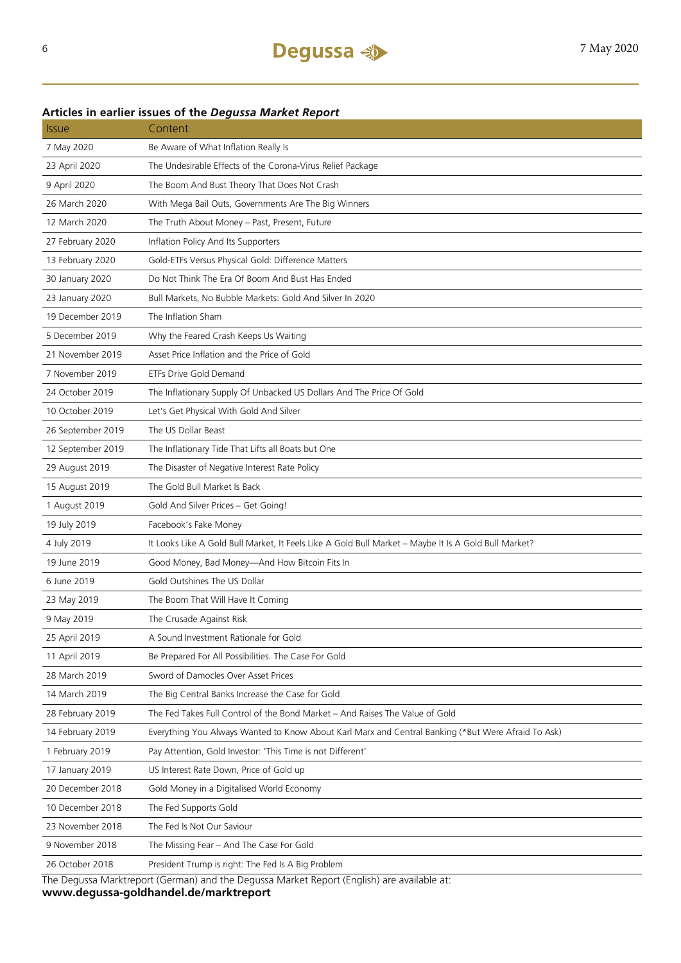### **Articles in earlier issues of the** *Degussa Market Report*

| <i><b>Issue</b></i> | Content                                                                                              |
|---------------------|------------------------------------------------------------------------------------------------------|
| 7 May 2020          | Be Aware of What Inflation Really Is                                                                 |
| 23 April 2020       | The Undesirable Effects of the Corona-Virus Relief Package                                           |
| 9 April 2020        | The Boom And Bust Theory That Does Not Crash                                                         |
| 26 March 2020       | With Mega Bail Outs, Governments Are The Big Winners                                                 |
| 12 March 2020       | The Truth About Money - Past, Present, Future                                                        |
| 27 February 2020    | Inflation Policy And Its Supporters                                                                  |
| 13 February 2020    | Gold-ETFs Versus Physical Gold: Difference Matters                                                   |
| 30 January 2020     | Do Not Think The Era Of Boom And Bust Has Ended                                                      |
| 23 January 2020     | Bull Markets, No Bubble Markets: Gold And Silver In 2020                                             |
| 19 December 2019    | The Inflation Sham                                                                                   |
| 5 December 2019     | Why the Feared Crash Keeps Us Waiting                                                                |
| 21 November 2019    | Asset Price Inflation and the Price of Gold                                                          |
| 7 November 2019     | <b>ETFs Drive Gold Demand</b>                                                                        |
| 24 October 2019     | The Inflationary Supply Of Unbacked US Dollars And The Price Of Gold                                 |
| 10 October 2019     | Let's Get Physical With Gold And Silver                                                              |
| 26 September 2019   | The US Dollar Beast                                                                                  |
| 12 September 2019   | The Inflationary Tide That Lifts all Boats but One                                                   |
| 29 August 2019      | The Disaster of Negative Interest Rate Policy                                                        |
| 15 August 2019      | The Gold Bull Market Is Back                                                                         |
| 1 August 2019       | Gold And Silver Prices - Get Going!                                                                  |
| 19 July 2019        | Facebook's Fake Money                                                                                |
| 4 July 2019         | It Looks Like A Gold Bull Market, It Feels Like A Gold Bull Market - Maybe It Is A Gold Bull Market? |
| 19 June 2019        | Good Money, Bad Money-And How Bitcoin Fits In                                                        |
| 6 June 2019         | Gold Outshines The US Dollar                                                                         |
| 23 May 2019         | The Boom That Will Have It Coming                                                                    |
| 9 May 2019          | The Crusade Against Risk                                                                             |
| 25 April 2019       | A Sound Investment Rationale for Gold                                                                |
| 11 April 2019       | Be Prepared For All Possibilities. The Case For Gold                                                 |
| 28 March 2019       | Sword of Damocles Over Asset Prices                                                                  |
| 14 March 2019       | The Big Central Banks Increase the Case for Gold                                                     |
| 28 February 2019    | The Fed Takes Full Control of the Bond Market - And Raises The Value of Gold                         |
| 14 February 2019    | Everything You Always Wanted to Know About Karl Marx and Central Banking (*But Were Afraid To Ask)   |
| 1 February 2019     | Pay Attention, Gold Investor: 'This Time is not Different'                                           |
| 17 January 2019     | US Interest Rate Down, Price of Gold up                                                              |
| 20 December 2018    | Gold Money in a Digitalised World Economy                                                            |
| 10 December 2018    | The Fed Supports Gold                                                                                |
| 23 November 2018    | The Fed Is Not Our Saviour                                                                           |
| 9 November 2018     | The Missing Fear - And The Case For Gold                                                             |
| 26 October 2018     | President Trump is right: The Fed Is A Big Problem                                                   |
|                     | The Deques Marktropert (German) and the Deques Market Pepert (English) are available at:             |

The Degussa Marktreport (German) and the Degussa Market Report (English) are available at: **www.degussa-goldhandel.de/marktreport**